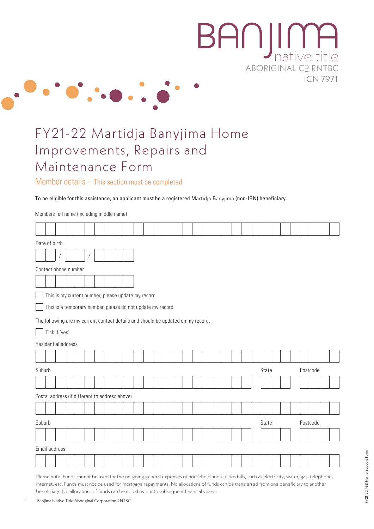

# FY21-22 Martidja Banyjima Home Improvements, Repairs and Maintenance Form

 $\cdot \bullet \cdot$ .

Member details – This section must be completed

To be eligible for this assistance, an applicant must be a registered Martidja Banyjima (non-IBN) beneficiary.

|                                                    | Date of birth                                                                    |  |  |  |  |  |  |  |  |  |       |  |  |          |  |       |  |  |  |  |          |  |  |  |  |
|----------------------------------------------------|----------------------------------------------------------------------------------|--|--|--|--|--|--|--|--|--|-------|--|--|----------|--|-------|--|--|--|--|----------|--|--|--|--|
|                                                    |                                                                                  |  |  |  |  |  |  |  |  |  |       |  |  |          |  |       |  |  |  |  |          |  |  |  |  |
| Contact phone number                               |                                                                                  |  |  |  |  |  |  |  |  |  |       |  |  |          |  |       |  |  |  |  |          |  |  |  |  |
|                                                    |                                                                                  |  |  |  |  |  |  |  |  |  |       |  |  |          |  |       |  |  |  |  |          |  |  |  |  |
| This is my current number, please update my record |                                                                                  |  |  |  |  |  |  |  |  |  |       |  |  |          |  |       |  |  |  |  |          |  |  |  |  |
|                                                    | This is a temporary number, please do not update my record                       |  |  |  |  |  |  |  |  |  |       |  |  |          |  |       |  |  |  |  |          |  |  |  |  |
|                                                    | The following are my current contact details and should be updated on my record. |  |  |  |  |  |  |  |  |  |       |  |  |          |  |       |  |  |  |  |          |  |  |  |  |
|                                                    | Tick if 'yes'                                                                    |  |  |  |  |  |  |  |  |  |       |  |  |          |  |       |  |  |  |  |          |  |  |  |  |
|                                                    | Residential address                                                              |  |  |  |  |  |  |  |  |  |       |  |  |          |  |       |  |  |  |  |          |  |  |  |  |
|                                                    |                                                                                  |  |  |  |  |  |  |  |  |  |       |  |  |          |  |       |  |  |  |  |          |  |  |  |  |
| Suburb                                             |                                                                                  |  |  |  |  |  |  |  |  |  |       |  |  |          |  | State |  |  |  |  | Postcode |  |  |  |  |
|                                                    |                                                                                  |  |  |  |  |  |  |  |  |  |       |  |  |          |  |       |  |  |  |  |          |  |  |  |  |
|                                                    | Postal address (if different to address above)                                   |  |  |  |  |  |  |  |  |  |       |  |  |          |  |       |  |  |  |  |          |  |  |  |  |
|                                                    |                                                                                  |  |  |  |  |  |  |  |  |  |       |  |  |          |  |       |  |  |  |  |          |  |  |  |  |
| Suburb                                             |                                                                                  |  |  |  |  |  |  |  |  |  | State |  |  | Postcode |  |       |  |  |  |  |          |  |  |  |  |
|                                                    |                                                                                  |  |  |  |  |  |  |  |  |  |       |  |  |          |  |       |  |  |  |  |          |  |  |  |  |
|                                                    | Email address                                                                    |  |  |  |  |  |  |  |  |  |       |  |  |          |  |       |  |  |  |  |          |  |  |  |  |
|                                                    |                                                                                  |  |  |  |  |  |  |  |  |  |       |  |  |          |  |       |  |  |  |  |          |  |  |  |  |

Please note: Funds cannot be used for the on-going general expenses of household and utilities bills, such as electricity, water, gas, telephone, internet, etc. Funds must not be used for mortgage repayments. No allocations of funds can be transferred from one beneficiary to another beneficiary. No allocations of funds can be rolled over into subsequent financial years.

Members full name (including middle name)